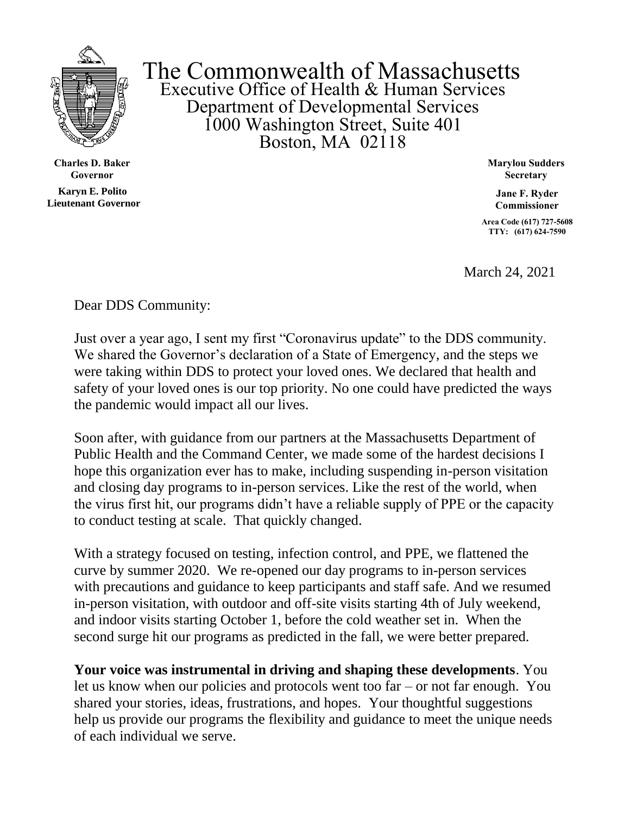

The Commonwealth of Massachusetts Executive Office of Health & Human Services Department of Developmental Services 1000 Washington Street, Suite 401 Boston, MA 02118

**Charles D. Baker Governor**

**Karyn E. Polito Lieutenant Governor** **Marylou Sudders Secretary**

**Jane F. Ryder Commissioner**

**Area Code (617) 727-5608 TTY: (617) 624-7590**

March 24, 2021

Dear DDS Community:

Just over a year ago, I sent my first "Coronavirus update" to the DDS community. We shared the Governor's declaration of a State of Emergency, and the steps we were taking within DDS to protect your loved ones. We declared that health and safety of your loved ones is our top priority. No one could have predicted the ways the pandemic would impact all our lives.

Soon after, with guidance from our partners at the Massachusetts Department of Public Health and the Command Center, we made some of the hardest decisions I hope this organization ever has to make, including suspending in-person visitation and closing day programs to in-person services. Like the rest of the world, when the virus first hit, our programs didn't have a reliable supply of PPE or the capacity to conduct testing at scale. That quickly changed.

With a strategy focused on testing, infection control, and PPE, we flattened the curve by summer 2020. We re-opened our day programs to in-person services with precautions and guidance to keep participants and staff safe. And we resumed in-person visitation, with outdoor and off-site visits starting 4th of July weekend, and indoor visits starting October 1, before the cold weather set in. When the second surge hit our programs as predicted in the fall, we were better prepared.

**Your voice was instrumental in driving and shaping these developments**. You let us know when our policies and protocols went too far – or not far enough. You shared your stories, ideas, frustrations, and hopes. Your thoughtful suggestions help us provide our programs the flexibility and guidance to meet the unique needs of each individual we serve.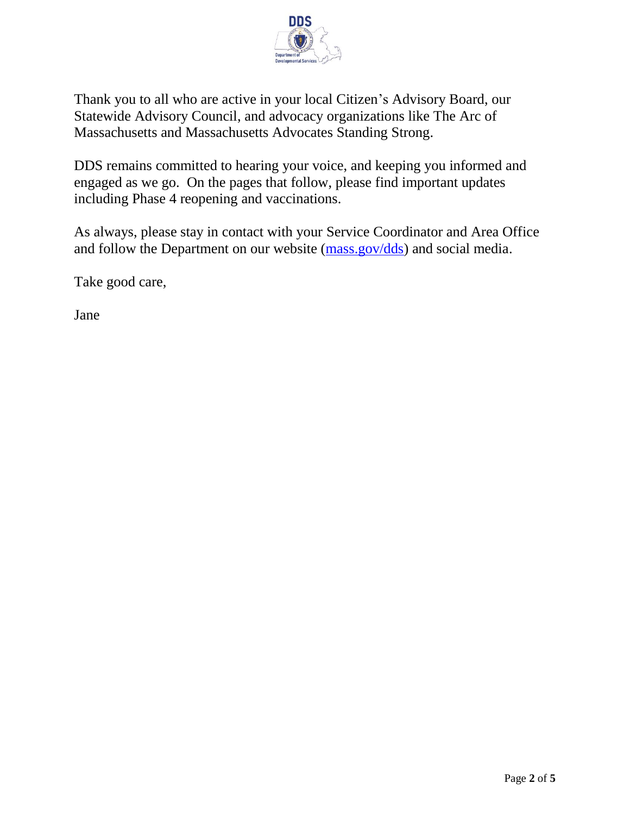

Thank you to all who are active in your local Citizen's Advisory Board, our Statewide Advisory Council, and advocacy organizations like The Arc of Massachusetts and Massachusetts Advocates Standing Strong.

DDS remains committed to hearing your voice, and keeping you informed and engaged as we go. On the pages that follow, please find important updates including Phase 4 reopening and vaccinations.

As always, please stay in contact with your Service Coordinator and Area Office and follow the Department on our website [\(mass.gov/dds\)](https://www.mass.gov/orgs/department-of-developmental-services) and social media.

Take good care,

Jane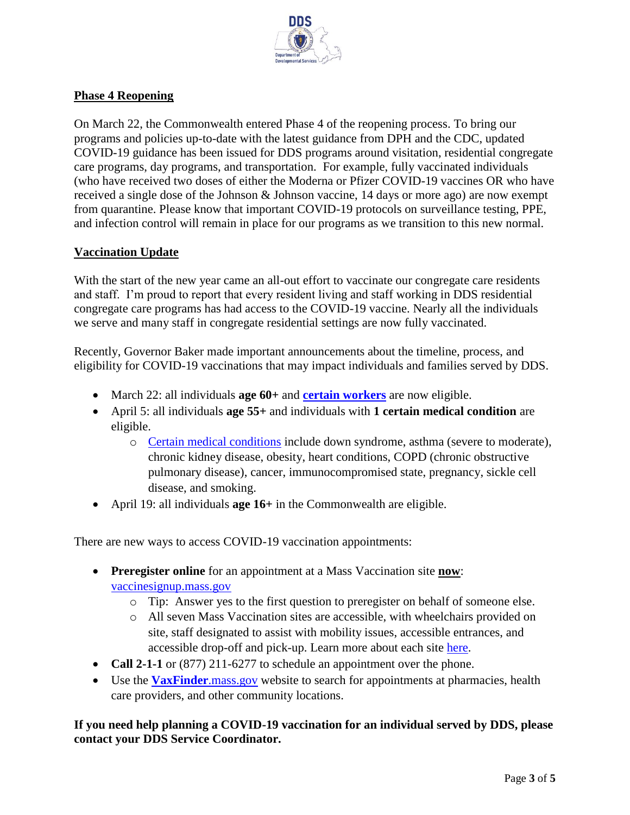

# **Phase 4 Reopening**

On March 22, the Commonwealth entered Phase 4 of the reopening process. To bring our programs and policies up-to-date with the latest guidance from DPH and the CDC, updated COVID-19 guidance has been issued for DDS programs around visitation, residential congregate care programs, day programs, and transportation. For example, fully vaccinated individuals (who have received two doses of either the Moderna or Pfizer COVID-19 vaccines OR who have received a single dose of the Johnson & Johnson vaccine, 14 days or more ago) are now exempt from quarantine. Please know that important COVID-19 protocols on surveillance testing, PPE, and infection control will remain in place for our programs as we transition to this new normal.

## **Vaccination Update**

With the start of the new year came an all-out effort to vaccinate our congregate care residents and staff. I'm proud to report that every resident living and staff working in DDS residential congregate care programs has had access to the COVID-19 vaccine. Nearly all the individuals we serve and many staff in congregate residential settings are now fully vaccinated.

Recently, Governor Baker made important announcements about the timeline, process, and eligibility for COVID-19 vaccinations that may impact individuals and families served by DDS.

- March 22: all individuals **age 60+** and **[certain workers](https://www.mass.gov/info-details/covid-19-vaccinations-for-certain-workers)** are now eligible.
- April 5: all individuals **age 55+** and individuals with **1 certain medical condition** are eligible.
	- o [Certain medical conditions](https://www.mass.gov/info-details/covid-19-vaccinations-for-individuals-with-certain-medical-conditions#eligibility-) include down syndrome, asthma (severe to moderate), chronic kidney disease, obesity, heart conditions, COPD (chronic obstructive pulmonary disease), cancer, immunocompromised state, pregnancy, sickle cell disease, and smoking.
- April 19: all individuals **age 16+** in the Commonwealth are eligible.

There are new ways to access COVID-19 vaccination appointments:

- **Preregister online** for an appointment at a Mass Vaccination site **now**: [vaccinesignup.mass.gov](https://vaccinesignup.mass.gov/#/)
	- o Tip: Answer yes to the first question to preregister on behalf of someone else.
	- o All seven Mass Vaccination sites are accessible, with wheelchairs provided on site, staff designated to assist with mobility issues, accessible entrances, and accessible drop-off and pick-up. Learn more about each site [here.](https://www.mass.gov/doc/mass-vaccination-site-accessibility-information/download)
- **Call 2-1-1** or (877) 211-6277 to schedule an appointment over the phone.
- Use the **[VaxFinder](https://vaxfinder.mass.gov/)** mass, gov website to search for appointments at pharmacies, health care providers, and other community locations.

**If you need help planning a COVID-19 vaccination for an individual served by DDS, please contact your DDS Service Coordinator.**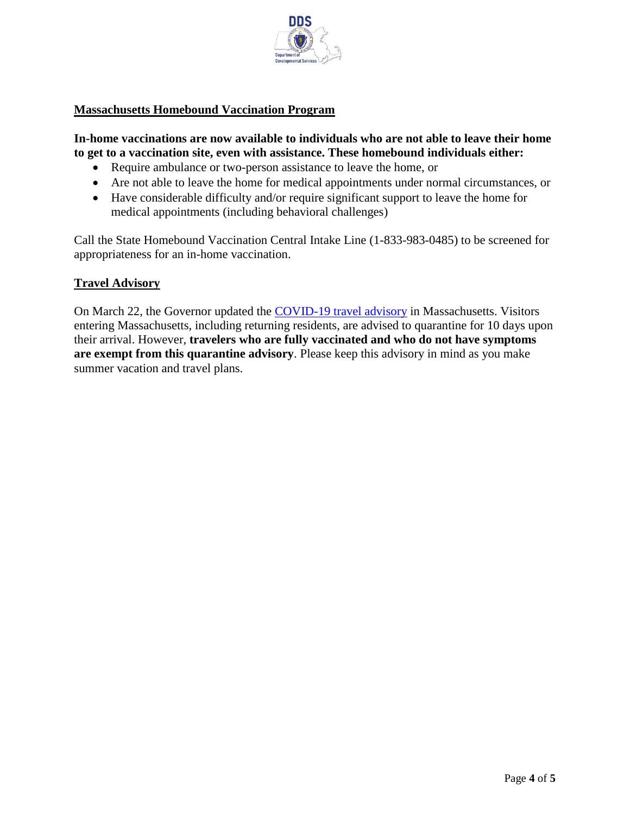

### **Massachusetts Homebound Vaccination Program**

**In-home vaccinations are now available to individuals who are not able to leave their home to get to a vaccination site, even with assistance. These homebound individuals either:**

- Require ambulance or two-person assistance to leave the home, or
- Are not able to leave the home for medical appointments under normal circumstances, or
- Have considerable difficulty and/or require significant support to leave the home for medical appointments (including behavioral challenges)

Call the State Homebound Vaccination Central Intake Line (1-833-983-0485) to be screened for appropriateness for an in-home vaccination.

### **Travel Advisory**

On March 22, the Governor updated the [COVID-19 travel advisory](https://www.mass.gov/info-details/covid-19-travel-advisory) in Massachusetts. Visitors entering Massachusetts, including returning residents, are advised to quarantine for 10 days upon their arrival. However, **travelers who are fully vaccinated and who do not have symptoms are exempt from this quarantine advisory**. Please keep this advisory in mind as you make summer vacation and travel plans.